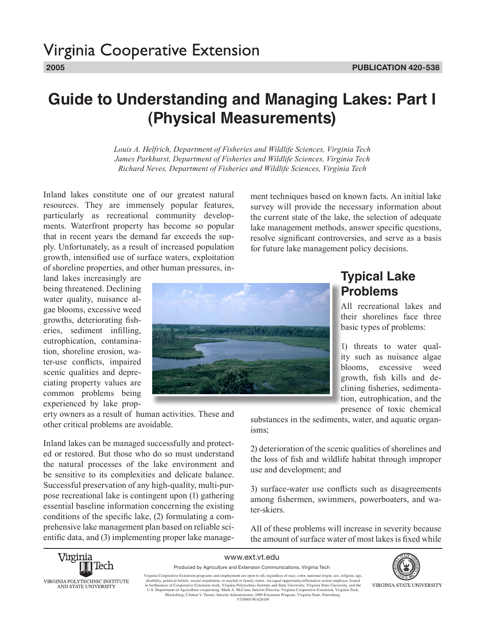# **Guide to Understanding and Managing Lakes: Part I (Physical Measurements)**

*Louis A. Helfrich, Department of Fisheries and Wildlife Sciences, Virginia Tech James Parkhurst, Department of Fisheries and Wildlife Sciences, Virginia Tech Richard Neves, Department of Fisheries and Wildlife Sciences, Virginia Tech*

Inland lakes constitute one of our greatest natural resources. They are immensely popular features, particularly as recreational community developments. Waterfront property has become so popular that in recent years the demand far exceeds the supply. Unfortunately, as a result of increased population growth, intensified use of surface waters, exploitation of shoreline properties, and other human pressures, in-

land lakes increasingly are being threatened. Declining water quality, nuisance algae blooms, excessive weed growths, deteriorating fisheries, sediment infilling, eutrophication, contamination, shoreline erosion, water-use conflicts, impaired scenic qualities and depreciating property values are common problems being experienced by lake prop-

erty owners as a result of human activities. These and other critical problems are avoidable.

Inland lakes can be managed successfully and protected or restored. But those who do so must understand the natural processes of the lake environment and be sensitive to its complexities and delicate balance. Successful preservation of any high-quality, multi-purpose recreational lake is contingent upon (1) gathering essential baseline information concerning the existing conditions of the specific lake, (2) formulating a comprehensive lake management plan based on reliable scientific data, and (3) implementing proper lake management techniques based on known facts. An initial lake survey will provide the necessary information about the current state of the lake, the selection of adequate lake management methods, answer specific questions, resolve significant controversies, and serve as a basis for future lake management policy decisions.



### **Typical Lake Problems**

All recreational lakes and their shorelines face three basic types of problems:

1) threats to water quality such as nuisance algae blooms, excessive weed growth, fish kills and declining fisheries, sedimentation, eutrophication, and the presence of toxic chemical

substances in the sediments, water, and aquatic organisms;

2) deterioration of the scenic qualities of shorelines and the loss of fish and wildlife habitat through improper use and development; and

3) surface-water use conflicts such as disagreements among fishermen, swimmers, powerboaters, and water-skiers.

All of these problems will increase in severity because the amount of surface water of most lakes is fixed while



www.ext.vt.edu Produced by Agriculture and Extension Communications, Virginia Tech VIRGINIA STATE UNIVERSITY

Virginia Cooperative Extension programs and employment are open to all, regardless of race, color, national origin, sex, religion, age, disability, political beliefs, extual orientation, or marital or family status. An equ Blacksburg; Clinton V. Turner, Interim Administrator, 1890 Extension Program, Virginia State, Petersburg.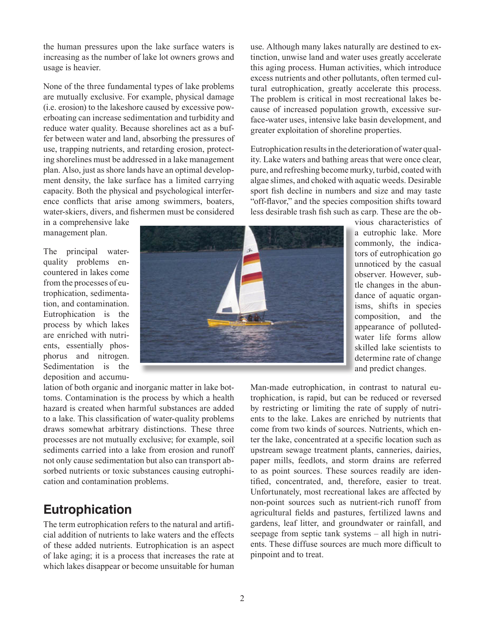the human pressures upon the lake surface waters is increasing as the number of lake lot owners grows and usage is heavier.

None of the three fundamental types of lake problems are mutually exclusive. For example, physical damage (i.e. erosion) to the lakeshore caused by excessive powerboating can increase sedimentation and turbidity and reduce water quality. Because shorelines act as a buffer between water and land, absorbing the pressures of use, trapping nutrients, and retarding erosion, protecting shorelines must be addressed in a lake management plan. Also, just as shore lands have an optimal development density, the lake surface has a limited carrying capacity. Both the physical and psychological interference conflicts that arise among swimmers, boaters, water-skiers, divers, and fishermen must be considered

in a comprehensive lake management plan.

The principal waterquality problems encountered in lakes come from the processes of eutrophication, sedimentation, and contamination. Eutrophication is the process by which lakes are enriched with nutrients, essentially phosphorus and nitrogen. Sedimentation is the deposition and accumu-



use. Although many lakes naturally are destined to extinction, unwise land and water uses greatly accelerate this aging process. Human activities, which introduce excess nutrients and other pollutants, often termed cultural eutrophication, greatly accelerate this process. The problem is critical in most recreational lakes because of increased population growth, excessive surface-water uses, intensive lake basin development, and greater exploitation of shoreline properties.

Eutrophication results in the deterioration of water quality. Lake waters and bathing areas that were once clear, pure, and refreshing become murky, turbid, coated with algae slimes, and choked with aquatic weeds. Desirable sport fish decline in numbers and size and may taste "off-flavor," and the species composition shifts toward less desirable trash fish such as carp. These are the ob-

> vious characteristics of a eutrophic lake. More commonly, the indicators of eutrophication go unnoticed by the casual observer. However, subtle changes in the abundance of aquatic organisms, shifts in species composition, and the appearance of pollutedwater life forms allow skilled lake scientists to determine rate of change and predict changes.

lation of both organic and inorganic matter in lake bottoms. Contamination is the process by which a health hazard is created when harmful substances are added to a lake. This classification of water-quality problems draws somewhat arbitrary distinctions. These three processes are not mutually exclusive; for example, soil sediments carried into a lake from erosion and runoff not only cause sedimentation but also can transport absorbed nutrients or toxic substances causing eutrophication and contamination problems.

## **Eutrophication**

The term eutrophication refers to the natural and artificial addition of nutrients to lake waters and the effects of these added nutrients. Eutrophication is an aspect of lake aging; it is a process that increases the rate at which lakes disappear or become unsuitable for human Man-made eutrophication, in contrast to natural eutrophication, is rapid, but can be reduced or reversed by restricting or limiting the rate of supply of nutrients to the lake. Lakes are enriched by nutrients that come from two kinds of sources. Nutrients, which enter the lake, concentrated at a specific location such as upstream sewage treatment plants, canneries, dairies, paper mills, feedlots, and storm drains are referred to as point sources. These sources readily are identified, concentrated, and, therefore, easier to treat. Unfortunately, most recreational lakes are affected by non-point sources such as nutrient-rich runoff from agricultural fields and pastures, fertilized lawns and gardens, leaf litter, and groundwater or rainfall, and seepage from septic tank systems – all high in nutrients. These diffuse sources are much more difficult to pinpoint and to treat.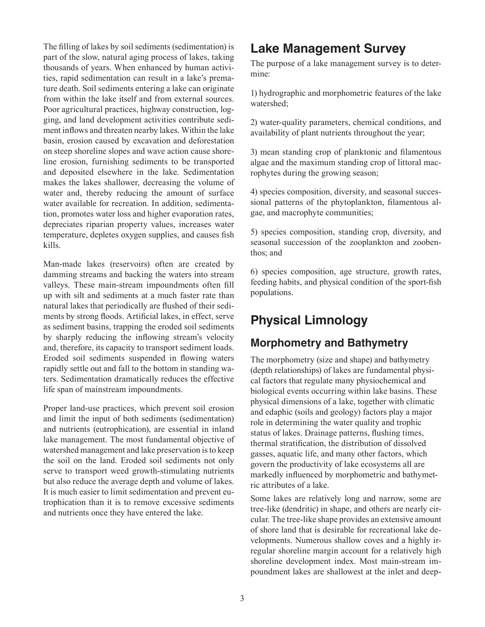The filling of lakes by soil sediments (sedimentation) is part of the slow, natural aging process of lakes, taking thousands of years. When enhanced by human activities, rapid sedimentation can result in a lake's premature death. Soil sediments entering a lake can originate from within the lake itself and from external sources. Poor agricultural practices, highway construction, logging, and land development activities contribute sediment inflows and threaten nearby lakes. Within the lake basin, erosion caused by excavation and deforestation on steep shoreline slopes and wave action cause shoreline erosion, furnishing sediments to be transported and deposited elsewhere in the lake. Sedimentation makes the lakes shallower, decreasing the volume of water and, thereby reducing the amount of surface water available for recreation. In addition, sedimentation, promotes water loss and higher evaporation rates, depreciates riparian property values, increases water temperature, depletes oxygen supplies, and causes fish kills.

Man-made lakes (reservoirs) often are created by damming streams and backing the waters into stream valleys. These main-stream impoundments often fill up with silt and sediments at a much faster rate than natural lakes that periodically are flushed of their sediments by strong floods. Artificial lakes, in effect, serve as sediment basins, trapping the eroded soil sediments by sharply reducing the inflowing stream's velocity and, therefore, its capacity to transport sediment loads. Eroded soil sediments suspended in flowing waters rapidly settle out and fall to the bottom in standing waters. Sedimentation dramatically reduces the effective life span of mainstream impoundments.

Proper land-use practices, which prevent soil erosion and limit the input of both sediments (sedimentation) and nutrients (eutrophication), are essential in inland lake management. The most fundamental objective of watershed management and lake preservation is to keep the soil on the land. Eroded soil sediments not only serve to transport weed growth-stimulating nutrients but also reduce the average depth and volume of lakes. It is much easier to limit sedimentation and prevent eutrophication than it is to remove excessive sediments and nutrients once they have entered the lake.

## **Lake Management Survey**

The purpose of a lake management survey is to determine:

1) hydrographic and morphometric features of the lake watershed;

2) water-quality parameters, chemical conditions, and availability of plant nutrients throughout the year;

3) mean standing crop of planktonic and filamentous algae and the maximum standing crop of littoral macrophytes during the growing season;

4) species composition, diversity, and seasonal successional patterns of the phytoplankton, filamentous algae, and macrophyte communities;

5) species composition, standing crop, diversity, and seasonal succession of the zooplankton and zoobenthos; and

6) species composition, age structure, growth rates, feeding habits, and physical condition of the sport-fish populations.

### **Physical Limnology**

#### **Morphometry and Bathymetry**

The morphometry (size and shape) and bathymetry (depth relationships) of lakes are fundamental physical factors that regulate many physiochemical and biological events occurring within lake basins. These physical dimensions of a lake, together with climatic and edaphic (soils and geology) factors play a major role in determining the water quality and trophic status of lakes. Drainage patterns, flushing times, thermal stratification, the distribution of dissolved gasses, aquatic life, and many other factors, which govern the productivity of lake ecosystems all are markedly influenced by morphometric and bathymetric attributes of a lake.

Some lakes are relatively long and narrow, some are tree-like (dendritic) in shape, and others are nearly circular. The tree-like shape provides an extensive amount of shore land that is desirable for recreational lake developments. Numerous shallow coves and a highly irregular shoreline margin account for a relatively high shoreline development index. Most main-stream impoundment lakes are shallowest at the inlet and deep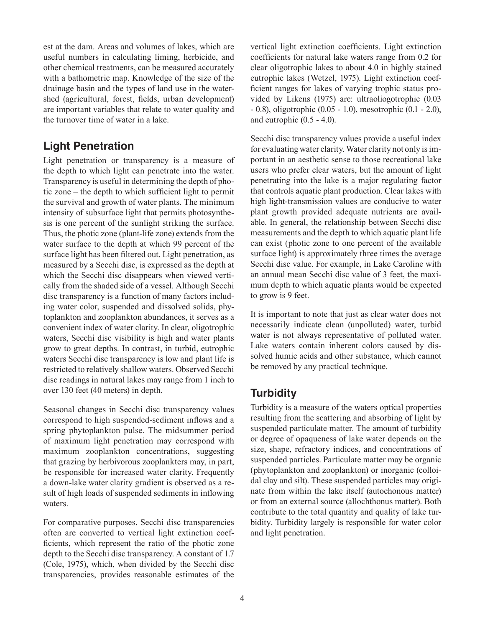est at the dam. Areas and volumes of lakes, which are useful numbers in calculating liming, herbicide, and other chemical treatments, can be measured accurately with a bathometric map. Knowledge of the size of the drainage basin and the types of land use in the watershed (agricultural, forest, fields, urban development) are important variables that relate to water quality and the turnover time of water in a lake.

#### **Light Penetration**

Light penetration or transparency is a measure of the depth to which light can penetrate into the water. Transparency is useful in determining the depth of photic zone – the depth to which sufficient light to permit the survival and growth of water plants. The minimum intensity of subsurface light that permits photosynthesis is one percent of the sunlight striking the surface. Thus, the photic zone (plant-life zone) extends from the water surface to the depth at which 99 percent of the surface light has been filtered out. Light penetration, as measured by a Secchi disc, is expressed as the depth at which the Secchi disc disappears when viewed vertically from the shaded side of a vessel. Although Secchi disc transparency is a function of many factors including water color, suspended and dissolved solids, phytoplankton and zooplankton abundances, it serves as a convenient index of water clarity. In clear, oligotrophic waters, Secchi disc visibility is high and water plants grow to great depths. In contrast, in turbid, eutrophic waters Secchi disc transparency is low and plant life is restricted to relatively shallow waters. Observed Secchi disc readings in natural lakes may range from 1 inch to over 130 feet (40 meters) in depth.

Seasonal changes in Secchi disc transparency values correspond to high suspended-sediment inflows and a spring phytoplankton pulse. The midsummer period of maximum light penetration may correspond with maximum zooplankton concentrations, suggesting that grazing by herbivorous zooplankters may, in part, be responsible for increased water clarity. Frequently a down-lake water clarity gradient is observed as a result of high loads of suspended sediments in inflowing waters.

For comparative purposes, Secchi disc transparencies often are converted to vertical light extinction coefficients, which represent the ratio of the photic zone depth to the Secchi disc transparency. A constant of 1.7 (Cole, 1975), which, when divided by the Secchi disc transparencies, provides reasonable estimates of the vertical light extinction coefficients. Light extinction coefficients for natural lake waters range from 0.2 for clear oligotrophic lakes to about 4.0 in highly stained eutrophic lakes (Wetzel, 1975). Light extinction coefficient ranges for lakes of varying trophic status provided by Likens (1975) are: ultraoliogotrophic (0.03 - 0.8), oligotrophic (0.05 - 1.0), mesotrophic (0.1 - 2.0), and eutrophic  $(0.5 - 4.0)$ .

Secchi disc transparency values provide a useful index for evaluating water clarity. Water clarity not only is important in an aesthetic sense to those recreational lake users who prefer clear waters, but the amount of light penetrating into the lake is a major regulating factor that controls aquatic plant production. Clear lakes with high light-transmission values are conducive to water plant growth provided adequate nutrients are available. In general, the relationship between Secchi disc measurements and the depth to which aquatic plant life can exist (photic zone to one percent of the available surface light) is approximately three times the average Secchi disc value. For example, in Lake Caroline with an annual mean Secchi disc value of 3 feet, the maximum depth to which aquatic plants would be expected to grow is 9 feet.

It is important to note that just as clear water does not necessarily indicate clean (unpolluted) water, turbid water is not always representative of polluted water. Lake waters contain inherent colors caused by dissolved humic acids and other substance, which cannot be removed by any practical technique.

### **Turbidity**

Turbidity is a measure of the waters optical properties resulting from the scattering and absorbing of light by suspended particulate matter. The amount of turbidity or degree of opaqueness of lake water depends on the size, shape, refractory indices, and concentrations of suspended particles. Particulate matter may be organic (phytoplankton and zooplankton) or inorganic (colloidal clay and silt). These suspended particles may originate from within the lake itself (autochonous matter) or from an external source (allochthonus matter). Both contribute to the total quantity and quality of lake turbidity. Turbidity largely is responsible for water color and light penetration.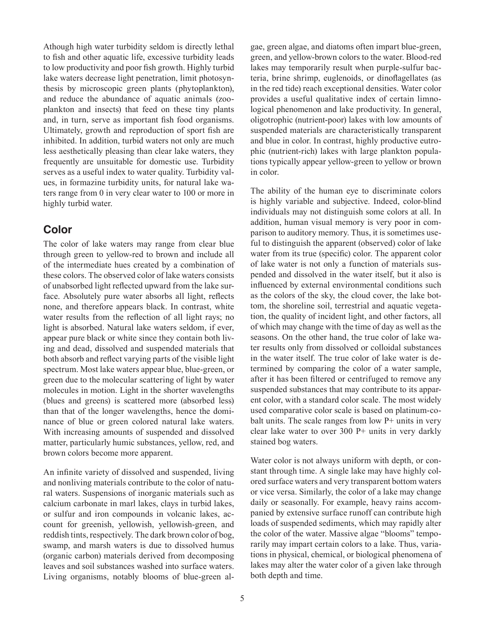Athough high water turbidity seldom is directly lethal to fish and other aquatic life, excessive turbidity leads to low productivity and poor fish growth. Highly turbid lake waters decrease light penetration, limit photosynthesis by microscopic green plants (phytoplankton), and reduce the abundance of aquatic animals (zooplankton and insects) that feed on these tiny plants and, in turn, serve as important fish food organisms. Ultimately, growth and reproduction of sport fish are inhibited. In addition, turbid waters not only are much less aesthetically pleasing than clear lake waters, they frequently are unsuitable for domestic use. Turbidity serves as a useful index to water quality. Turbidity values, in formazine turbidity units, for natural lake waters range from 0 in very clear water to 100 or more in highly turbid water.

#### **Color**

The color of lake waters may range from clear blue through green to yellow-red to brown and include all of the intermediate hues created by a combination of these colors. The observed color of lake waters consists of unabsorbed light reflected upward from the lake surface. Absolutely pure water absorbs all light, reflects none, and therefore appears black. In contrast, white water results from the reflection of all light rays; no light is absorbed. Natural lake waters seldom, if ever, appear pure black or white since they contain both living and dead, dissolved and suspended materials that both absorb and reflect varying parts of the visible light spectrum. Most lake waters appear blue, blue-green, or green due to the molecular scattering of light by water molecules in motion. Light in the shorter wavelengths (blues and greens) is scattered more (absorbed less) than that of the longer wavelengths, hence the dominance of blue or green colored natural lake waters. With increasing amounts of suspended and dissolved matter, particularly humic substances, yellow, red, and brown colors become more apparent.

An infinite variety of dissolved and suspended, living and nonliving materials contribute to the color of natural waters. Suspensions of inorganic materials such as calcium carbonate in marl lakes, clays in turbid lakes, or sulfur and iron compounds in volcanic lakes, account for greenish, yellowish, yellowish-green, and reddish tints, respectively. The dark brown color of bog, swamp, and marsh waters is due to dissolved humus (organic carbon) materials derived from decomposing leaves and soil substances washed into surface waters. Living organisms, notably blooms of blue-green algae, green algae, and diatoms often impart blue-green, green, and yellow-brown colors to the water. Blood-red lakes may temporarily result when purple-sulfur bacteria, brine shrimp, euglenoids, or dinoflagellates (as in the red tide) reach exceptional densities. Water color provides a useful qualitative index of certain limnological phenomenon and lake productivity. In general, oligotrophic (nutrient-poor) lakes with low amounts of suspended materials are characteristically transparent and blue in color. In contrast, highly productive eutrophic (nutrient-rich) lakes with large plankton populations typically appear yellow-green to yellow or brown in color.

The ability of the human eye to discriminate colors is highly variable and subjective. Indeed, color-blind individuals may not distinguish some colors at all. In addition, human visual memory is very poor in comparison to auditory memory. Thus, it is sometimes useful to distinguish the apparent (observed) color of lake water from its true (specific) color. The apparent color of lake water is not only a function of materials suspended and dissolved in the water itself, but it also is influenced by external environmental conditions such as the colors of the sky, the cloud cover, the lake bottom, the shoreline soil, terrestrial and aquatic vegetation, the quality of incident light, and other factors, all of which may change with the time of day as well as the seasons. On the other hand, the true color of lake water results only from dissolved or colloidal substances in the water itself. The true color of lake water is determined by comparing the color of a water sample, after it has been filtered or centrifuged to remove any suspended substances that may contribute to its apparent color, with a standard color scale. The most widely used comparative color scale is based on platinum-cobalt units. The scale ranges from low P+ units in very clear lake water to over 300 P+ units in very darkly stained bog waters.

Water color is not always uniform with depth, or constant through time. A single lake may have highly colored surface waters and very transparent bottom waters or vice versa. Similarly, the color of a lake may change daily or seasonally. For example, heavy rains accompanied by extensive surface runoff can contribute high loads of suspended sediments, which may rapidly alter the color of the water. Massive algae "blooms" temporarily may impart certain colors to a lake. Thus, variations in physical, chemical, or biological phenomena of lakes may alter the water color of a given lake through both depth and time.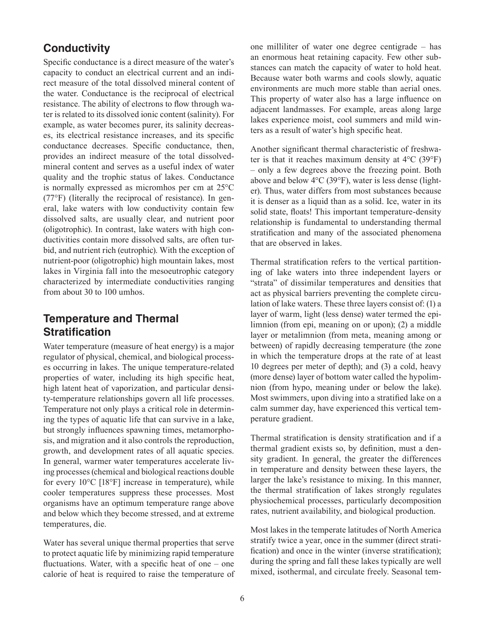#### **Conductivity**

Specific conductance is a direct measure of the water's capacity to conduct an electrical current and an indirect measure of the total dissolved mineral content of the water. Conductance is the reciprocal of electrical resistance. The ability of electrons to flow through water is related to its dissolved ionic content (salinity). For example, as water becomes purer, its salinity decreases, its electrical resistance increases, and its specific conductance decreases. Specific conductance, then, provides an indirect measure of the total dissolvedmineral content and serves as a useful index of water quality and the trophic status of lakes. Conductance is normally expressed as micromhos per cm at 25°C (77°F) (literally the reciprocal of resistance). In general, lake waters with low conductivity contain few dissolved salts, are usually clear, and nutrient poor (oligotrophic). In contrast, lake waters with high conductivities contain more dissolved salts, are often turbid, and nutrient rich (eutrophic). With the exception of nutrient-poor (oligotrophic) high mountain lakes, most lakes in Virginia fall into the mesoeutrophic category characterized by intermediate conductivities ranging from about 30 to 100 umhos.

#### **Temperature and Thermal Stratification**

Water temperature (measure of heat energy) is a major regulator of physical, chemical, and biological processes occurring in lakes. The unique temperature-related properties of water, including its high specific heat, high latent heat of vaporization, and particular density-temperature relationships govern all life processes. Temperature not only plays a critical role in determining the types of aquatic life that can survive in a lake, but strongly influences spawning times, metamorphosis, and migration and it also controls the reproduction, growth, and development rates of all aquatic species. In general, warmer water temperatures accelerate living processes (chemical and biological reactions double for every 10°C [18°F] increase in temperature), while cooler temperatures suppress these processes. Most organisms have an optimum temperature range above and below which they become stressed, and at extreme temperatures, die.

Water has several unique thermal properties that serve to protect aquatic life by minimizing rapid temperature fluctuations. Water, with a specific heat of one – one calorie of heat is required to raise the temperature of one milliliter of water one degree centigrade – has an enormous heat retaining capacity. Few other substances can match the capacity of water to hold heat. Because water both warms and cools slowly, aquatic environments are much more stable than aerial ones. This property of water also has a large influence on adjacent landmasses. For example, areas along large lakes experience moist, cool summers and mild winters as a result of water's high specific heat.

Another significant thermal characteristic of freshwater is that it reaches maximum density at  $4^{\circ}$ C (39 $^{\circ}$ F) – only a few degrees above the freezing point. Both above and below 4°C (39°F), water is less dense (lighter). Thus, water differs from most substances because it is denser as a liquid than as a solid. Ice, water in its solid state, floats! This important temperature-density relationship is fundamental to understanding thermal stratification and many of the associated phenomena that are observed in lakes.

Thermal stratification refers to the vertical partitioning of lake waters into three independent layers or "strata" of dissimilar temperatures and densities that act as physical barriers preventing the complete circulation of lake waters. These three layers consist of: (1) a layer of warm, light (less dense) water termed the epilimnion (from epi, meaning on or upon); (2) a middle layer or metalimnion (from meta, meaning among or between) of rapidly decreasing temperature (the zone in which the temperature drops at the rate of at least 10 degrees per meter of depth); and (3) a cold, heavy (more dense) layer of bottom water called the hypolimnion (from hypo, meaning under or below the lake). Most swimmers, upon diving into a stratified lake on a calm summer day, have experienced this vertical temperature gradient.

Thermal stratification is density stratification and if a thermal gradient exists so, by definition, must a density gradient. In general, the greater the differences in temperature and density between these layers, the larger the lake's resistance to mixing. In this manner, the thermal stratification of lakes strongly regulates physiochemical processes, particularly decomposition rates, nutrient availability, and biological production.

Most lakes in the temperate latitudes of North America stratify twice a year, once in the summer (direct stratification) and once in the winter (inverse stratification); during the spring and fall these lakes typically are well mixed, isothermal, and circulate freely. Seasonal tem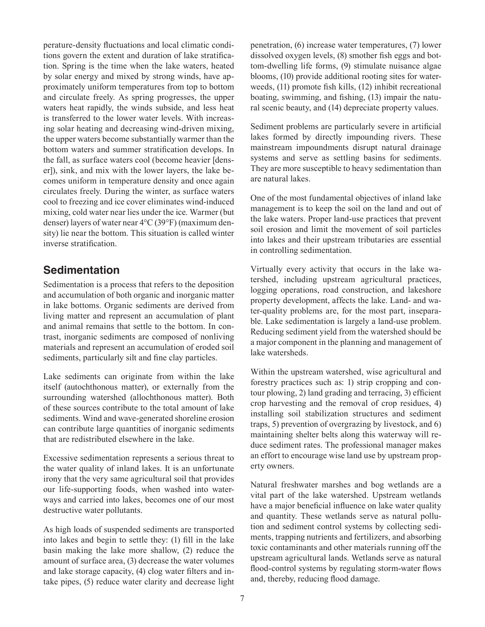perature-density fluctuations and local climatic conditions govern the extent and duration of lake stratification. Spring is the time when the lake waters, heated by solar energy and mixed by strong winds, have approximately uniform temperatures from top to bottom and circulate freely. As spring progresses, the upper waters heat rapidly, the winds subside, and less heat is transferred to the lower water levels. With increasing solar heating and decreasing wind-driven mixing, the upper waters become substantially warmer than the bottom waters and summer stratification develops. In the fall, as surface waters cool (become heavier [denser]), sink, and mix with the lower layers, the lake becomes uniform in temperature density and once again circulates freely. During the winter, as surface waters cool to freezing and ice cover eliminates wind-induced mixing, cold water near lies under the ice. Warmer (but denser) layers of water near 4°C (39°F) (maximum density) lie near the bottom. This situation is called winter inverse stratification.

#### **Sedimentation**

Sedimentation is a process that refers to the deposition and accumulation of both organic and inorganic matter in lake bottoms. Organic sediments are derived from living matter and represent an accumulation of plant and animal remains that settle to the bottom. In contrast, inorganic sediments are composed of nonliving materials and represent an accumulation of eroded soil sediments, particularly silt and fine clay particles.

Lake sediments can originate from within the lake itself (autochthonous matter), or externally from the surrounding watershed (allochthonous matter). Both of these sources contribute to the total amount of lake sediments. Wind and wave-generated shoreline erosion can contribute large quantities of inorganic sediments that are redistributed elsewhere in the lake.

Excessive sedimentation represents a serious threat to the water quality of inland lakes. It is an unfortunate irony that the very same agricultural soil that provides our life-supporting foods, when washed into waterways and carried into lakes, becomes one of our most destructive water pollutants.

As high loads of suspended sediments are transported into lakes and begin to settle they: (1) fill in the lake basin making the lake more shallow, (2) reduce the amount of surface area, (3) decrease the water volumes and lake storage capacity, (4) clog water filters and intake pipes, (5) reduce water clarity and decrease light

penetration, (6) increase water temperatures, (7) lower dissolved oxygen levels, (8) smother fish eggs and bottom-dwelling life forms, (9) stimulate nuisance algae blooms, (10) provide additional rooting sites for waterweeds, (11) promote fish kills, (12) inhibit recreational boating, swimming, and fishing, (13) impair the natural scenic beauty, and (14) depreciate property values.

Sediment problems are particularly severe in artificial lakes formed by directly impounding rivers. These mainstream impoundments disrupt natural drainage systems and serve as settling basins for sediments. They are more susceptible to heavy sedimentation than are natural lakes.

One of the most fundamental objectives of inland lake management is to keep the soil on the land and out of the lake waters. Proper land-use practices that prevent soil erosion and limit the movement of soil particles into lakes and their upstream tributaries are essential in controlling sedimentation.

Virtually every activity that occurs in the lake watershed, including upstream agricultural practices, logging operations, road construction, and lakeshore property development, affects the lake. Land- and water-quality problems are, for the most part, inseparable. Lake sedimentation is largely a land-use problem. Reducing sediment yield from the watershed should be a major component in the planning and management of lake watersheds.

Within the upstream watershed, wise agricultural and forestry practices such as: 1) strip cropping and contour plowing, 2) land grading and terracing, 3) efficient crop harvesting and the removal of crop residues, 4) installing soil stabilization structures and sediment traps, 5) prevention of overgrazing by livestock, and 6) maintaining shelter belts along this waterway will reduce sediment rates. The professional manager makes an effort to encourage wise land use by upstream property owners.

Natural freshwater marshes and bog wetlands are a vital part of the lake watershed. Upstream wetlands have a major beneficial influence on lake water quality and quantity. These wetlands serve as natural pollution and sediment control systems by collecting sediments, trapping nutrients and fertilizers, and absorbing toxic contaminants and other materials running off the upstream agricultural lands. Wetlands serve as natural flood-control systems by regulating storm-water flows and, thereby, reducing flood damage.